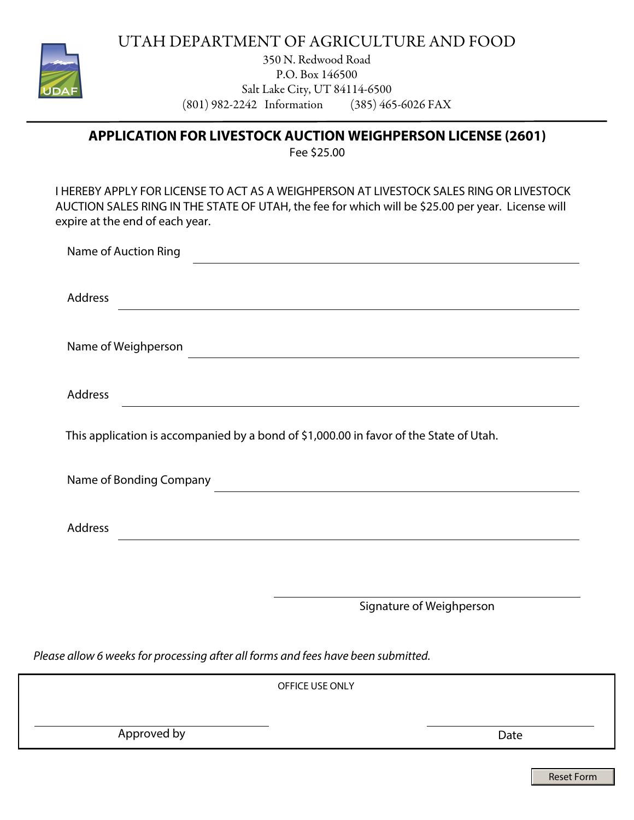

UTAH DEPARTMENT OF AGRICULTURE AND FOOD

350 N. Redwood Road P.O. Box 146500 Salt Lake City, UT 84114-6500 (801) 982-2242 Information (385) 465-6026 FAX

**APPLICATION FOR LIVESTOCK AUCTION WEIGHPERSON LICENSE (2601)** 

Fee \$25.00

I HEREBY APPLY FOR LICENSE TO ACT AS A WEIGHPERSON AT LIVESTOCK SALES RING OR LIVESTOCK AUCTION SALES RING IN THE STATE OF UTAH, the fee for which will be \$25.00 per year. License will expire at the end of each year.

| Name of Auction Ring                                                                                                  |  |  |  |
|-----------------------------------------------------------------------------------------------------------------------|--|--|--|
|                                                                                                                       |  |  |  |
| Address                                                                                                               |  |  |  |
|                                                                                                                       |  |  |  |
| Name of Weighperson                                                                                                   |  |  |  |
|                                                                                                                       |  |  |  |
| <b>Address</b>                                                                                                        |  |  |  |
| <u> 1980 - Jan Bartha, martin a bhaile ann an t-Alban an t-Alban ann an t-Alban an t-Alban ann an t-Alban ann an </u> |  |  |  |
| This application is accompanied by a bond of \$1,000.00 in favor of the State of Utah.                                |  |  |  |
|                                                                                                                       |  |  |  |
| Name of Bonding Company                                                                                               |  |  |  |
|                                                                                                                       |  |  |  |
| <b>Address</b>                                                                                                        |  |  |  |
|                                                                                                                       |  |  |  |
|                                                                                                                       |  |  |  |

Signature of Weighperson

*Please allow 6 weeks for processing after all forms and fees have been submitted.*

|             | OFFICE USE ONLY |      |
|-------------|-----------------|------|
|             |                 |      |
| Approved by |                 | Date |